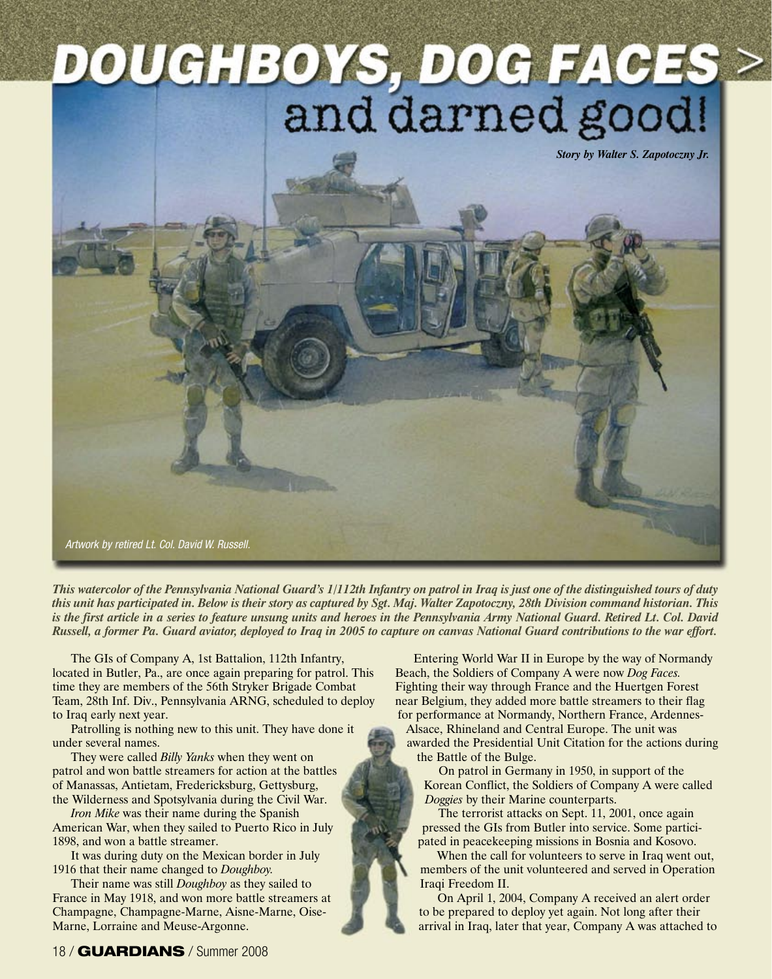## **DOUCHBOYS, DOG FACES >**<br>and darned good!

*Story by Walter S. Zapotoczny Jr.*

Artwork by retired Lt. Col. David W. Russell.

This watercolor of the Pennsylvania National Guard's 1/112th Infantry on patrol in Iraq is just one of the distinguished tours of duty this unit has participated in. Below is their story as captured by Sgt. Maj. Walter Zapotoczny, 28th Division command historian. This is the first article in a series to feature unsung units and heroes in the Pennsylvania Army National Guard. Retired Lt. Col. David Russell, a former Pa. Guard aviator, deployed to Iraq in 2005 to capture on canvas National Guard contributions to the war effort.

The GIs of Company A, 1st Battalion, 112th Infantry, located in Butler, Pa., are once again preparing for patrol. This time they are members of the 56th Stryker Brigade Combat Team, 28th Inf. Div., Pennsylvania ARNG, scheduled to deploy to Iraq early next year.

Patrolling is nothing new to this unit. They have done it under several names.

They were called *Billy Yanks* when they went on patrol and won battle streamers for action at the battles of Manassas, Antietam, Fredericksburg, Gettysburg, the Wilderness and Spotsylvania during the Civil War.

*Iron Mike* was their name during the Spanish American War, when they sailed to Puerto Rico in July 1898, and won a battle streamer.

It was during duty on the Mexican border in July 1916 that their name changed to *Doughboy.*

Their name was still *Doughboy* as they sailed to France in May 1918, and won more battle streamers at Champagne, Champagne-Marne, Aisne-Marne, Oise-Marne, Lorraine and Meuse-Argonne.

Entering World War II in Europe by the way of Normandy Beach, the Soldiers of Company A were now *Dog Faces.* Fighting their way through France and the Huertgen Forest near Belgium, they added more battle streamers to their flag for performance at Normandy, Northern France, Ardennes-

Alsace, Rhineland and Central Europe. The unit was awarded the Presidential Unit Citation for the actions during the Battle of the Bulge.

On patrol in Germany in 1950, in support of the Korean Conflict, the Soldiers of Company A were called *Doggies* by their Marine counterparts.

The terrorist attacks on Sept. 11, 2001, once again pressed the GIs from Butler into service. Some participated in peacekeeping missions in Bosnia and Kosovo.

When the call for volunteers to serve in Iraq went out, members of the unit volunteered and served in Operation Iraqi Freedom II.

On April 1, 2004, Company A received an alert order to be prepared to deploy yet again. Not long after their arrival in Iraq, later that year, Company A was attached to